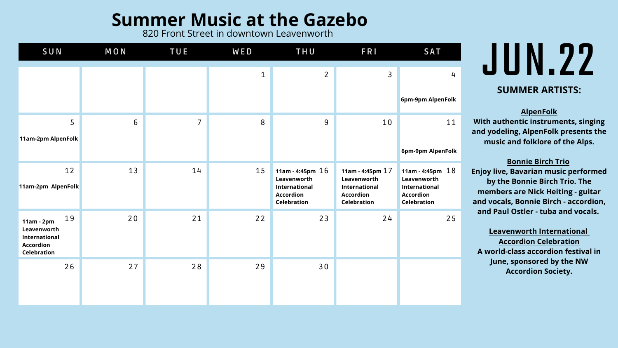# **JUN.22 SUMMER ARTISTS:**

**AlpenFolk With authentic instruments, singing and yodeling, AlpenFolk presents the music and folklore of the Alps.**

**Bonnie Birch Trio**

**Enjoy live, Bavarian music performed by the Bonnie Birch Trio. The members are Nick Heiting - guitar and vocals, Bonnie Birch - accordion, and Paul Ostler - tuba and vocals.**

| SUN                                                                                                 | <b>MON</b> | <b>TUE</b>     | <b>WED</b>  | THU                                                                                          | FRI                                                                                          | <b>SAT</b>                                                                                   |
|-----------------------------------------------------------------------------------------------------|------------|----------------|-------------|----------------------------------------------------------------------------------------------|----------------------------------------------------------------------------------------------|----------------------------------------------------------------------------------------------|
|                                                                                                     |            |                | $\mathbf 1$ | $\overline{2}$                                                                               | 3                                                                                            | 4<br>6pm-9pm AlpenFolk                                                                       |
| 5<br>11am-2pm AlpenFolk                                                                             | 6          | $\overline{7}$ | 8           | 9                                                                                            | 10                                                                                           | 11<br>6pm-9pm AlpenFolk                                                                      |
| 12<br>11am-2pm AlpenFolk                                                                            | 13         | 14             | 15          | 11am - 4:45pm $16$<br>Leavenworth<br>International<br><b>Accordion</b><br><b>Celebration</b> | 11am - 4:45pm $17$<br>Leavenworth<br>International<br><b>Accordion</b><br><b>Celebration</b> | 11am - 4:45pm $18$<br>Leavenworth<br>International<br><b>Accordion</b><br><b>Celebration</b> |
| 19<br>$11am - 2pm$<br>Leavenworth<br><b>International</b><br><b>Accordion</b><br><b>Celebration</b> | 20         | 21             | 22          | 23                                                                                           | 24                                                                                           | 25                                                                                           |
| 26                                                                                                  | 27         | 28             | 29          | 30                                                                                           |                                                                                              |                                                                                              |

**Leavenworth International Accordion Celebration A world-class accordion festival in June, sponsored by the NW Accordion Society.**

### **Summer Music at the Gazebo**

820 Front Street in downtown Leavenworth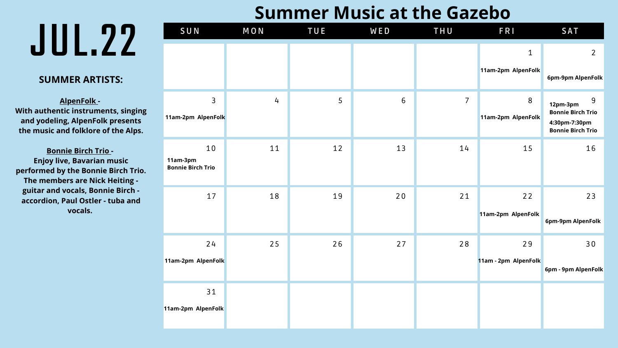#### **SUMMER ARTISTS:**

**AlpenFolk - With authentic instruments, singing and yodeling, AlpenFolk presents the music and folklore of the Alps.**

**Bonnie Birch Trio - Enjoy live, Bavarian music performed by the Bonnie Birch Trio. The members are Nick Heiting guitar and vocals, Bonnie Birch accordion, Paul Ostler - tuba and vocals.**

| SUN                                        | <b>MON</b>     | TUE | <b>WED</b>      | THU            | FRI                               | <b>SAT</b>                                                                             |
|--------------------------------------------|----------------|-----|-----------------|----------------|-----------------------------------|----------------------------------------------------------------------------------------|
|                                            |                |     |                 |                | $\mathbf 1$<br>11am-2pm AlpenFolk | $\overline{2}$<br>6pm-9pm AlpenFolk                                                    |
| $\mathsf{3}$<br>11am-2pm AlpenFolk         | $\overline{4}$ | 5   | $6\overline{6}$ | $\overline{7}$ | 8<br>11am-2pm AlpenFolk           | 9<br>12pm-3pm<br><b>Bonnie Birch Trio</b><br>4:30pm-7:30pm<br><b>Bonnie Birch Trio</b> |
| 10<br>11am-3pm<br><b>Bonnie Birch Trio</b> | 11             | 12  | 13              | 14             | 15                                | 16                                                                                     |
| 17                                         | 18             | 19  | 20              | 21             | 22<br>11am-2pm AlpenFolk          | 23<br>6pm-9pm AlpenFolk                                                                |
| 24<br>11am-2pm AlpenFolk                   | 25             | 26  | 27              | 28             | 29<br>11am - 2pm AlpenFolk        | 30<br>6pm - 9pm AlpenFolk                                                              |
| 31<br>11am-2pm AlpenFolk                   |                |     |                 |                |                                   |                                                                                        |

#### **Summer Music at the Gazebo**

# **JUL.22**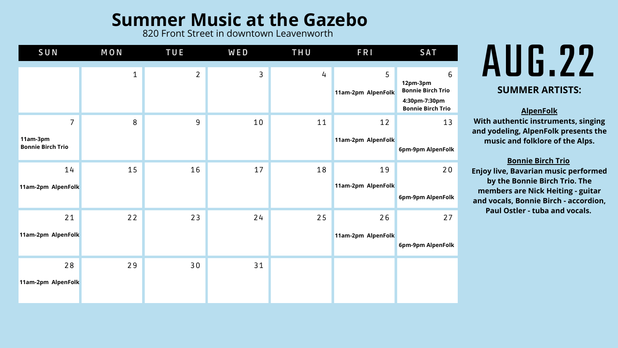# $\frac{1}{2}$   $\frac{1}{2}$ **SUMMER ARTISTS:**

820 Front Street in downtown Leavenworth

### **Summer Music at the Gazebo**

**AlpenFolk**

**With authentic instruments, singing and yodeling, AlpenFolk presents the music and folklore of the Alps.**

#### **Bonnie Birch Trio**

| SUN                                                    | <b>MON</b>  | <b>TUE</b>     | <b>WED</b> | THU | <b>FRI</b>               | <b>SAT</b>                                                                             |
|--------------------------------------------------------|-------------|----------------|------------|-----|--------------------------|----------------------------------------------------------------------------------------|
|                                                        | $\mathbf 1$ | $\overline{2}$ | 3          | 4   | 5<br>11am-2pm AlpenFolk  | 6<br>12pm-3pm<br><b>Bonnie Birch Trio</b><br>4:30pm-7:30pm<br><b>Bonnie Birch Trio</b> |
| $\overline{7}$<br>11am-3pm<br><b>Bonnie Birch Trio</b> | 8           | 9              | 10         | 11  | 12<br>11am-2pm AlpenFolk | 13<br>6pm-9pm AlpenFolk                                                                |
| 14<br>11am-2pm AlpenFolk                               | 15          | 16             | 17         | 18  | 19<br>11am-2pm AlpenFolk | 20<br>6pm-9pm AlpenFolk                                                                |
| 21<br>11am-2pm AlpenFolk                               | 22          | 23             | 24         | 25  | 26<br>11am-2pm AlpenFolk | 27<br>6pm-9pm AlpenFolk                                                                |
| 28<br>11am-2pm AlpenFolk                               | 29          | 30             | 31         |     |                          |                                                                                        |

**Enjoy live, Bavarian music performed by the Bonnie Birch Trio. The members are Nick Heiting - guitar and vocals, Bonnie Birch - accordion, Paul Ostler - tuba and vocals.**

### **11am-2pm AlpenFolk 12pm-3pm Bonnie Birch Trio 4:30pm-7:30pm Bonnie Birch Trio**  $\blacksquare$ olk  $\blacksquare$ olk **11am-2pm AlpenFolk 6pm-9pm AlpenFolk 6pm-9pm AlpenFolk 6pm-9pm AlpenFolk**